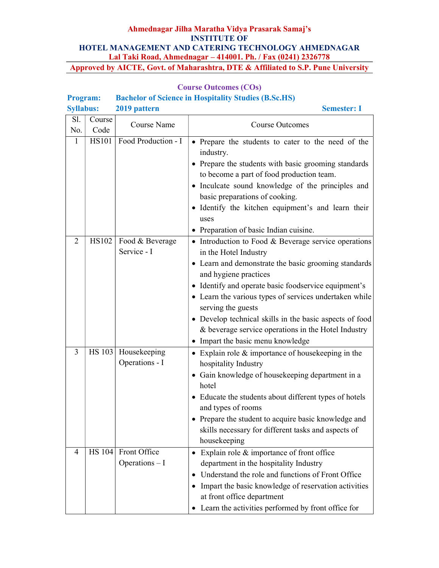#### Program: Bachelor of Science in Hospitality Studies (B.Sc.HS) Syllabus: 2019 pattern Semester: I Sl. No. Course Course Name Course Outcomes 1 | HS101 | Food Production - I |  $\bullet$  Prepare the students to cater to the need of the industry. • Prepare the students with basic grooming standards to become a part of food production team. • Inculcate sound knowledge of the principles and basic preparations of cooking. • Identify the kitchen equipment's and learn their uses • Preparation of basic Indian cuisine. 2 | HS102 | Food & Beverage Service - I  $\bullet$  Introduction to Food & Beverage service operations in the Hotel Industry Learn and demonstrate the basic grooming standards and hygiene practices • Identify and operate basic foodservice equipment's • Learn the various types of services undertaken while serving the guests Develop technical skills in the basic aspects of food & beverage service operations in the Hotel Industry • Impart the basic menu knowledge 3 | HS 103 | Housekeeping Operations - I • Explain role & importance of house keeping in the hospitality Industry Gain knowledge of housekeeping department in a hotel Educate the students about different types of hotels and types of rooms • Prepare the student to acquire basic knowledge and skills necessary for different tasks and aspects of housekeeping 4 | HS 104 Front Office Operations – I • Explain role & importance of front office department in the hospitality Industry Understand the role and functions of Front Office • Impart the basic knowledge of reservation activities at front office department Learn the activities performed by front office for

#### Course Outcomes (COs)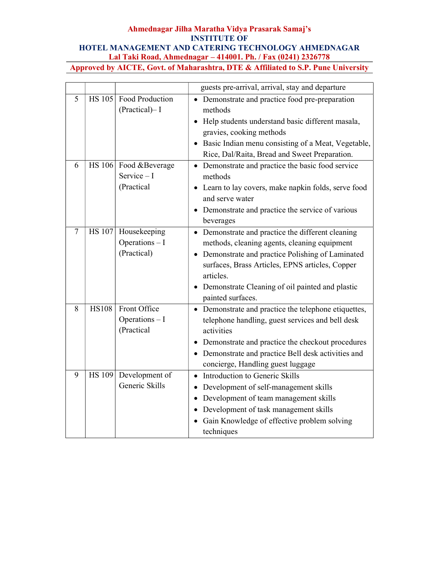|   |               |                                                      | guests pre-arrival, arrival, stay and departure                                                                                                                                                                                                                                                                        |
|---|---------------|------------------------------------------------------|------------------------------------------------------------------------------------------------------------------------------------------------------------------------------------------------------------------------------------------------------------------------------------------------------------------------|
| 5 | <b>HS 105</b> | Food Production<br>(Practical)-I                     | Demonstrate and practice food pre-preparation<br>$\bullet$<br>methods<br>• Help students understand basic different masala,<br>gravies, cooking methods<br>Basic Indian menu consisting of a Meat, Vegetable,<br>$\bullet$<br>Rice, Dal/Raita, Bread and Sweet Preparation.                                            |
| 6 |               | HS 106 Food & Beverage<br>Service $-I$<br>(Practical | Demonstrate and practice the basic food service<br>$\bullet$<br>methods<br>• Learn to lay covers, make napkin folds, serve food<br>and serve water<br>Demonstrate and practice the service of various<br>beverages                                                                                                     |
| 7 | <b>HS 107</b> | Housekeeping<br>Operations - I<br>(Practical)        | • Demonstrate and practice the different cleaning<br>methods, cleaning agents, cleaning equipment<br>Demonstrate and practice Polishing of Laminated<br>$\bullet$<br>surfaces, Brass Articles, EPNS articles, Copper<br>articles.<br>Demonstrate Cleaning of oil painted and plastic<br>$\bullet$<br>painted surfaces. |
| 8 | <b>HS108</b>  | Front Office<br>Operations - I<br>(Practical         | • Demonstrate and practice the telephone etiquettes,<br>telephone handling, guest services and bell desk<br>activities<br>Demonstrate and practice the checkout procedures<br>$\bullet$<br>Demonstrate and practice Bell desk activities and<br>$\bullet$<br>concierge, Handling guest luggage                         |
| 9 | <b>HS 109</b> | Development of<br>Generic Skills                     | Introduction to Generic Skills<br>$\bullet$<br>Development of self-management skills<br>$\bullet$<br>Development of team management skills<br>$\bullet$<br>Development of task management skills<br>$\bullet$<br>Gain Knowledge of effective problem solving<br>$\bullet$<br>techniques                                |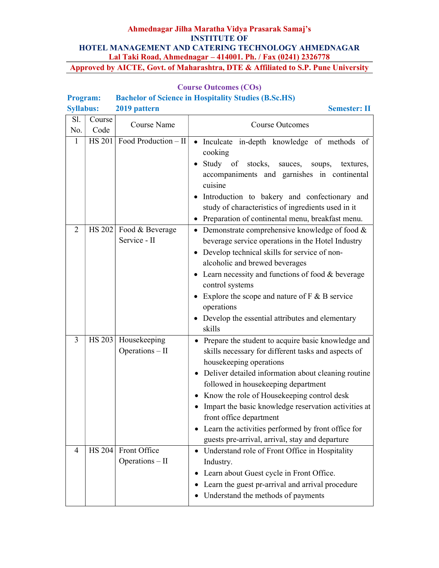# Course Outcomes (COs)

# Program: Bachelor of Science in Hospitality Studies (B.Sc.HS)<br>Syllobus: 2019 pattern

| <b>Syllabus:</b> |               | 2019 pattern                    | <b>Semester: II</b>                                                                                                                                                                                                                                                                                                                                                                                                                                                                                |
|------------------|---------------|---------------------------------|----------------------------------------------------------------------------------------------------------------------------------------------------------------------------------------------------------------------------------------------------------------------------------------------------------------------------------------------------------------------------------------------------------------------------------------------------------------------------------------------------|
| Sl.              | Course        |                                 |                                                                                                                                                                                                                                                                                                                                                                                                                                                                                                    |
| No.              | Code          | Course Name                     | <b>Course Outcomes</b>                                                                                                                                                                                                                                                                                                                                                                                                                                                                             |
| 1                | HS 201        | Food Production - II            | • Inculcate in-depth knowledge of methods of<br>cooking<br>• Study of stocks,<br>sauces, soups,<br>textures,<br>accompaniments and garnishes in continental<br>cuisine<br>Introduction to bakery and confectionary and<br>study of characteristics of ingredients used in it<br>Preparation of continental menu, breakfast menu.<br>$\bullet$                                                                                                                                                      |
| 2                | HS 202        | Food & Beverage<br>Service - II | • Demonstrate comprehensive knowledge of food $&$<br>beverage service operations in the Hotel Industry<br>• Develop technical skills for service of non-<br>alcoholic and brewed beverages<br>Learn necessity and functions of food & beverage<br>control systems<br>• Explore the scope and nature of $F & B$ service<br>operations<br>• Develop the essential attributes and elementary<br>skills                                                                                                |
| $\mathfrak{Z}$   | HS 203        | Housekeeping<br>Operations - II | • Prepare the student to acquire basic knowledge and<br>skills necessary for different tasks and aspects of<br>housekeeping operations<br>• Deliver detailed information about cleaning routine<br>followed in housekeeping department<br>Know the role of Housekeeping control desk<br>$\bullet$<br>Impart the basic knowledge reservation activities at<br>٠<br>front office department<br>Learn the activities performed by front office for<br>guests pre-arrival, arrival, stay and departure |
| $\overline{4}$   | <b>HS 204</b> | Front Office<br>Operations - II | Understand role of Front Office in Hospitality<br>٠<br>Industry.<br>Learn about Guest cycle in Front Office.<br>$\bullet$<br>Learn the guest pr-arrival and arrival procedure<br>$\bullet$<br>Understand the methods of payments<br>$\bullet$                                                                                                                                                                                                                                                      |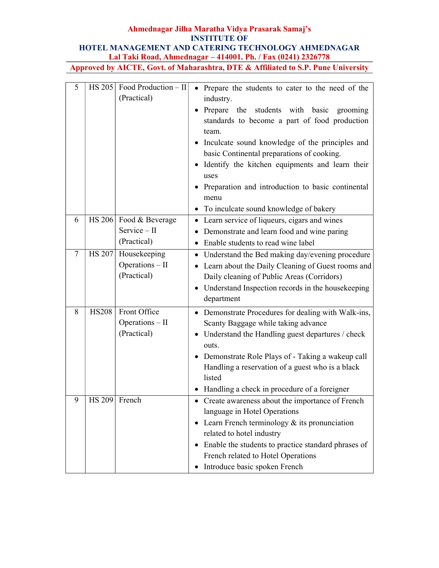# Ahmednagar Jilha Maratha Vidya Prasarak Samaj's INSTITUTE OF

# HOTEL MANAGEMENT AND CATERING TECHNOLOGY AHMEDNAGAR Lal Taki Road, Ahmednagar – 414001. Ph. / Fax (0241) 2326778

| 5      |               | $HS 205$ Food Production – II<br>(Practical)          | • Prepare the students to cater to the need of the<br>industry.<br>• Prepare the students with basic<br>grooming<br>standards to become a part of food production<br>team.                                                                                                                                                      |
|--------|---------------|-------------------------------------------------------|---------------------------------------------------------------------------------------------------------------------------------------------------------------------------------------------------------------------------------------------------------------------------------------------------------------------------------|
|        |               |                                                       | • Inculcate sound knowledge of the principles and<br>basic Continental preparations of cooking.<br>Identify the kitchen equipments and learn their<br>uses<br>• Preparation and introduction to basic continental<br>menu<br>To inculcate sound knowledge of bakery<br>$\bullet$                                                |
| 6      |               | HS 206 Food & Beverage<br>Service - II<br>(Practical) | Learn service of liqueurs, cigars and wines<br>Demonstrate and learn food and wine paring<br>$\bullet$<br>Enable students to read wine label<br>$\bullet$                                                                                                                                                                       |
| $\tau$ | <b>HS 207</b> | Housekeeping<br>Operations - II<br>(Practical)        | Understand the Bed making day/evening procedure<br>$\bullet$<br>Learn about the Daily Cleaning of Guest rooms and<br>$\bullet$<br>Daily cleaning of Public Areas (Corridors)<br>• Understand Inspection records in the housekeeping<br>department                                                                               |
| 8      | <b>HS208</b>  | Front Office<br>Operations - II<br>(Practical)        | • Demonstrate Procedures for dealing with Walk-ins,<br>Scanty Baggage while taking advance<br>• Understand the Handling guest departures / check<br>outs.<br>• Demonstrate Role Plays of - Taking a wakeup call<br>Handling a reservation of a guest who is a black<br>listed<br>• Handling a check in procedure of a foreigner |
| 9      | HS 209 French |                                                       | Create awareness about the importance of French<br>language in Hotel Operations<br>Learn French terminology $&$ its pronunciation<br>related to hotel industry<br>Enable the students to practice standard phrases of<br>French related to Hotel Operations<br>Introduce basic spoken French<br>$\bullet$                       |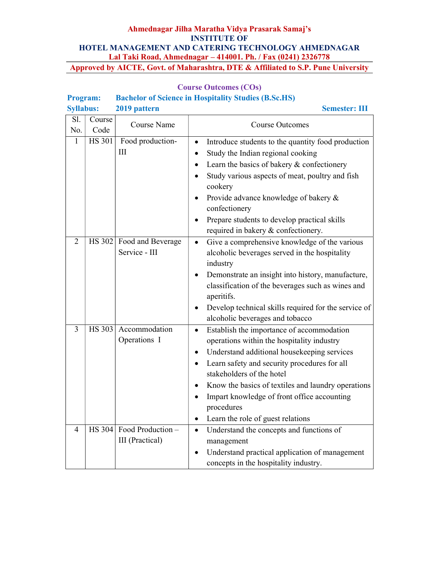| <b>Program:</b> |                                  |                                               | <b>Bachelor of Science in Hospitality Studies (B.Sc.HS)</b>                                                                                                                                                                                                                                                                                                                                                                          |
|-----------------|----------------------------------|-----------------------------------------------|--------------------------------------------------------------------------------------------------------------------------------------------------------------------------------------------------------------------------------------------------------------------------------------------------------------------------------------------------------------------------------------------------------------------------------------|
|                 | <b>Syllabus:</b><br>2019 pattern |                                               | <b>Semester: III</b>                                                                                                                                                                                                                                                                                                                                                                                                                 |
| Sl.<br>No.      | Course<br>Code                   | Course Name                                   | <b>Course Outcomes</b>                                                                                                                                                                                                                                                                                                                                                                                                               |
| $\mathbf{1}$    | HS 301                           | Food production-<br>III                       | Introduce students to the quantity food production<br>$\bullet$<br>Study the Indian regional cooking<br>٠<br>Learn the basics of bakery & confectionery<br>$\bullet$<br>Study various aspects of meat, poultry and fish<br>$\bullet$<br>cookery<br>Provide advance knowledge of bakery &<br>$\bullet$<br>confectionery<br>Prepare students to develop practical skills<br>$\bullet$<br>required in bakery & confectionery.           |
| 2               |                                  | HS 302 Food and Beverage<br>Service - III     | Give a comprehensive knowledge of the various<br>$\bullet$<br>alcoholic beverages served in the hospitality<br>industry<br>Demonstrate an insight into history, manufacture,<br>$\bullet$<br>classification of the beverages such as wines and<br>aperitifs.<br>Develop technical skills required for the service of<br>alcoholic beverages and tobacco                                                                              |
| $\overline{3}$  | HS 303                           | Accommodation<br>Operations I                 | Establish the importance of accommodation<br>$\bullet$<br>operations within the hospitality industry<br>Understand additional housekeeping services<br>$\bullet$<br>Learn safety and security procedures for all<br>$\bullet$<br>stakeholders of the hotel<br>Know the basics of textiles and laundry operations<br>٠<br>Impart knowledge of front office accounting<br>procedures<br>Learn the role of guest relations<br>$\bullet$ |
| 4               |                                  | $HS 304$ Food Production –<br>III (Practical) | Understand the concepts and functions of<br>$\bullet$<br>management<br>Understand practical application of management<br>$\bullet$<br>concepts in the hospitality industry.                                                                                                                                                                                                                                                          |

# Course Outcomes (COs)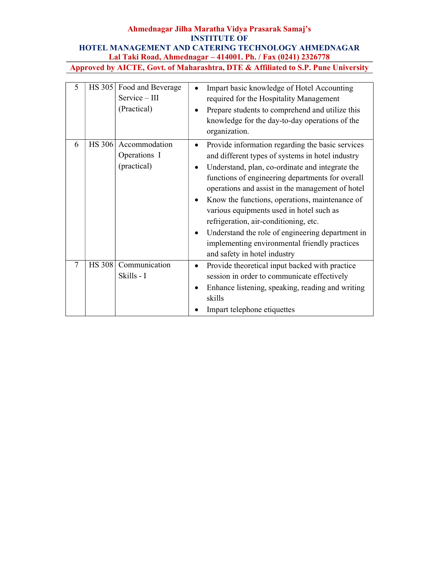| 5 | <b>HS 305</b> | Food and Beverage<br>Service - III<br>(Practical) | Impart basic knowledge of Hotel Accounting<br>required for the Hospitality Management<br>Prepare students to comprehend and utilize this<br>knowledge for the day-to-day operations of the<br>organization.                                                                                                                                                                                                                                                                                                                                                                |
|---|---------------|---------------------------------------------------|----------------------------------------------------------------------------------------------------------------------------------------------------------------------------------------------------------------------------------------------------------------------------------------------------------------------------------------------------------------------------------------------------------------------------------------------------------------------------------------------------------------------------------------------------------------------------|
| 6 | <b>HS 306</b> | Accommodation<br>Operations I<br>(practical)      | Provide information regarding the basic services<br>٠<br>and different types of systems in hotel industry<br>Understand, plan, co-ordinate and integrate the<br>$\bullet$<br>functions of engineering departments for overall<br>operations and assist in the management of hotel<br>Know the functions, operations, maintenance of<br>various equipments used in hotel such as<br>refrigeration, air-conditioning, etc.<br>Understand the role of engineering department in<br>$\bullet$<br>implementing environmental friendly practices<br>and safety in hotel industry |
| 7 | <b>HS 308</b> | Communication<br>Skills - I                       | Provide theoretical input backed with practice<br>session in order to communicate effectively<br>Enhance listening, speaking, reading and writing<br>skills<br>Impart telephone etiquettes                                                                                                                                                                                                                                                                                                                                                                                 |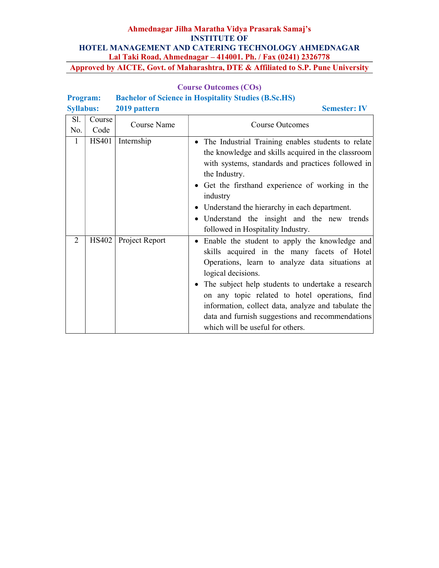# Course Outcomes (COs) Program: Bachelor of Science in Hospitality Studies (B.Sc.HS)

| <b>Syllabus:</b> |              | 2019 pattern   | <b>Semester: IV</b>                                                                                                                                                                                                                                                                                                                                                                                                                                   |
|------------------|--------------|----------------|-------------------------------------------------------------------------------------------------------------------------------------------------------------------------------------------------------------------------------------------------------------------------------------------------------------------------------------------------------------------------------------------------------------------------------------------------------|
| Sl.              | Course       | Course Name    |                                                                                                                                                                                                                                                                                                                                                                                                                                                       |
| No.              | Code         |                | <b>Course Outcomes</b>                                                                                                                                                                                                                                                                                                                                                                                                                                |
| $\mathbf{1}$     | <b>HS401</b> | Internship     | The Industrial Training enables students to relate<br>$\bullet$<br>the knowledge and skills acquired in the classroom<br>with systems, standards and practices followed in<br>the Industry.<br>• Get the firsthand experience of working in the<br>industry<br>Understand the hierarchy in each department.<br>$\bullet$<br>Understand the insight and the new trends<br>$\bullet$<br>followed in Hospitality Industry.                               |
| 2                | HS402        | Project Report | Enable the student to apply the knowledge and<br>$\bullet$<br>skills acquired in the many facets of Hotel<br>Operations, learn to analyze data situations at<br>logical decisions.<br>The subject help students to undertake a research<br>$\bullet$<br>on any topic related to hotel operations, find<br>information, collect data, analyze and tabulate the<br>data and furnish suggestions and recommendations<br>which will be useful for others. |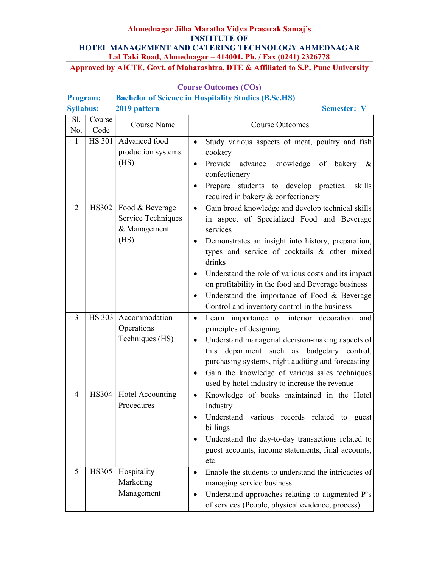|                  |                |                                                               | encion of Science in Hospitality Studies (Dascaris)                                                                                                                                                                                                                                                                                                                                                                                                                           |
|------------------|----------------|---------------------------------------------------------------|-------------------------------------------------------------------------------------------------------------------------------------------------------------------------------------------------------------------------------------------------------------------------------------------------------------------------------------------------------------------------------------------------------------------------------------------------------------------------------|
| <b>Syllabus:</b> |                | 2019 pattern                                                  | <b>Semester: V</b>                                                                                                                                                                                                                                                                                                                                                                                                                                                            |
| Sl.<br>No.       | Course<br>Code | <b>Course Name</b>                                            | <b>Course Outcomes</b>                                                                                                                                                                                                                                                                                                                                                                                                                                                        |
| $\mathbf{1}$     | HS 301         | Advanced food<br>production systems<br>(HS)                   | Study various aspects of meat, poultry and fish<br>$\bullet$<br>cookery<br>Provide advance knowledge of bakery<br>&<br>confectionery<br>Prepare students to develop practical skills<br>required in bakery & confectionery                                                                                                                                                                                                                                                    |
| $\overline{2}$   | HS302          | Food & Beverage<br>Service Techniques<br>& Management<br>(HS) | Gain broad knowledge and develop technical skills<br>$\bullet$<br>in aspect of Specialized Food and Beverage<br>services<br>Demonstrates an insight into history, preparation,<br>$\bullet$<br>types and service of cocktails & other mixed<br>drinks<br>Understand the role of various costs and its impact<br>٠<br>on profitability in the food and Beverage business<br>Understand the importance of Food & Beverage<br>٠<br>Control and inventory control in the business |
| $\overline{3}$   | HS 303         | Accommodation<br>Operations<br>Techniques (HS)                | Learn importance of interior decoration and<br>$\bullet$<br>principles of designing<br>Understand managerial decision-making aspects of<br>٠<br>department such as<br>budgetary control,<br>this<br>purchasing systems, night auditing and forecasting<br>Gain the knowledge of various sales techniques<br>$\bullet$<br>used by hotel industry to increase the revenue                                                                                                       |
| 4                | HS304          | Hotel Accounting<br>Procedures                                | Knowledge of books maintained in the Hotel<br>$\bullet$<br>Industry<br>Understand various records related to guest<br>$\bullet$<br>billings<br>Understand the day-to-day transactions related to<br>guest accounts, income statements, final accounts,<br>etc.                                                                                                                                                                                                                |
| 5                | HS305          | Hospitality<br>Marketing<br>Management                        | Enable the students to understand the intricacies of<br>$\bullet$<br>managing service business<br>Understand approaches relating to augmented P's<br>٠<br>of services (People, physical evidence, process)                                                                                                                                                                                                                                                                    |

# Course Outcomes (COs)

### Program: Bachelor of Science in Hospitality Studies (B.Sc.HS)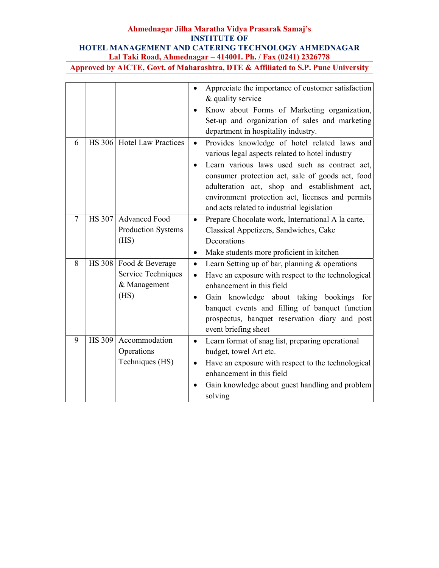|        |               |                                                               | Appreciate the importance of customer satisfaction<br>$\bullet$<br>& quality service<br>Know about Forms of Marketing organization,<br>Set-up and organization of sales and marketing<br>department in hospitality industry.                                                                                                                                         |
|--------|---------------|---------------------------------------------------------------|----------------------------------------------------------------------------------------------------------------------------------------------------------------------------------------------------------------------------------------------------------------------------------------------------------------------------------------------------------------------|
| 6      |               | HS 306 Hotel Law Practices                                    | Provides knowledge of hotel related laws and<br>$\bullet$<br>various legal aspects related to hotel industry<br>Learn various laws used such as contract act,<br>consumer protection act, sale of goods act, food<br>adulteration act, shop and establishment act,<br>environment protection act, licenses and permits<br>and acts related to industrial legislation |
| $\tau$ | HS 307        | <b>Advanced Food</b><br>Production Systems<br>(HS)            | Prepare Chocolate work, International A la carte,<br>$\bullet$<br>Classical Appetizers, Sandwiches, Cake<br>Decorations<br>Make students more proficient in kitchen<br>$\bullet$                                                                                                                                                                                     |
| 8      | HS 308        | Food & Beverage<br>Service Techniques<br>& Management<br>(HS) | Learn Setting up of bar, planning $&$ operations<br>$\bullet$<br>Have an exposure with respect to the technological<br>$\bullet$<br>enhancement in this field<br>Gain knowledge about taking bookings for<br>$\bullet$<br>banquet events and filling of banquet function<br>prospectus, banquet reservation diary and post<br>event briefing sheet                   |
| 9      | <b>HS 309</b> | Accommodation<br>Operations<br>Techniques (HS)                | Learn format of snag list, preparing operational<br>$\bullet$<br>budget, towel Art etc.<br>Have an exposure with respect to the technological<br>enhancement in this field<br>Gain knowledge about guest handling and problem<br>solving                                                                                                                             |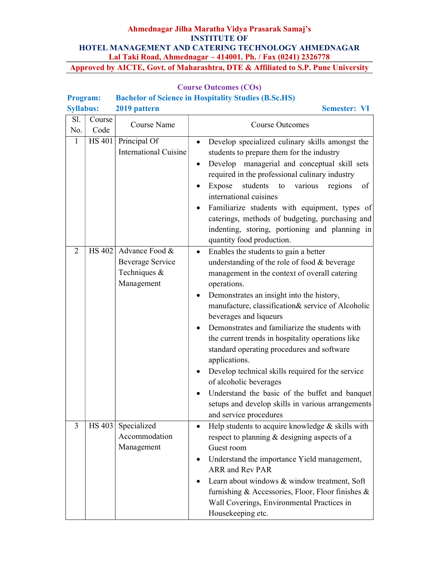# Course Outcomes (COs)

# Program: Bachelor of Science in Hospitality Studies (B.Sc.HS)

| <b>Syllabus:</b> |        | 2019 pattern                                                                      | <b>Semester: VI</b>                                                                                                                                                                                                                                                                                                                                                                                                                                                                                                                                                                                                                                                     |
|------------------|--------|-----------------------------------------------------------------------------------|-------------------------------------------------------------------------------------------------------------------------------------------------------------------------------------------------------------------------------------------------------------------------------------------------------------------------------------------------------------------------------------------------------------------------------------------------------------------------------------------------------------------------------------------------------------------------------------------------------------------------------------------------------------------------|
| Sl.              | Course | Course Name                                                                       |                                                                                                                                                                                                                                                                                                                                                                                                                                                                                                                                                                                                                                                                         |
| No.              | Code   |                                                                                   | <b>Course Outcomes</b>                                                                                                                                                                                                                                                                                                                                                                                                                                                                                                                                                                                                                                                  |
| $\mathbf{1}$     | HS 401 | Principal Of<br><b>International Cuisine</b>                                      | Develop specialized culinary skills amongst the<br>$\bullet$<br>students to prepare them for the industry<br>Develop managerial and conceptual skill sets<br>$\bullet$<br>required in the professional culinary industry<br>students to<br>Expose<br>various<br>regions<br>of<br>international cuisines<br>Familiarize students with equipment, types of<br>caterings, methods of budgeting, purchasing and<br>indenting, storing, portioning and planning in<br>quantity food production.                                                                                                                                                                              |
| 2                |        | HS 402 Advance Food $\&$<br><b>Beverage Service</b><br>Techniques &<br>Management | Enables the students to gain a better<br>understanding of the role of food & beverage<br>management in the context of overall catering<br>operations.<br>Demonstrates an insight into the history,<br>manufacture, classification& service of Alcoholic<br>beverages and liqueurs<br>Demonstrates and familiarize the students with<br>the current trends in hospitality operations like<br>standard operating procedures and software<br>applications.<br>Develop technical skills required for the service<br>of alcoholic beverages<br>Understand the basic of the buffet and banquet<br>setups and develop skills in various arrangements<br>and service procedures |
| 3                |        | HS 403 Specialized<br>Accommodation<br>Management                                 | Help students to acquire knowledge $&$ skills with<br>respect to planning & designing aspects of a<br>Guest room<br>Understand the importance Yield management,<br>ARR and Rev PAR<br>Learn about windows & window treatment, Soft<br>furnishing & Accessories, Floor, Floor finishes &<br>Wall Coverings, Environmental Practices in<br>Housekeeping etc.                                                                                                                                                                                                                                                                                                              |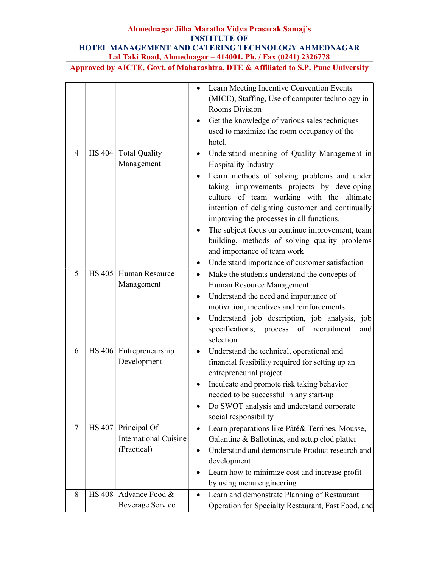|   |               |                              |           | Learn Meeting Incentive Convention Events          |
|---|---------------|------------------------------|-----------|----------------------------------------------------|
|   |               |                              |           | (MICE), Staffing, Use of computer technology in    |
|   |               |                              |           | <b>Rooms Division</b>                              |
|   |               |                              |           | Get the knowledge of various sales techniques      |
|   |               |                              |           | used to maximize the room occupancy of the         |
|   |               |                              |           | hotel.                                             |
| 4 |               | HS 404 Total Quality         | ٠         | Understand meaning of Quality Management in        |
|   |               | Management                   |           | Hospitality Industry                               |
|   |               |                              |           | Learn methods of solving problems and under        |
|   |               |                              |           | taking improvements projects by developing         |
|   |               |                              |           | culture of team working with the ultimate          |
|   |               |                              |           | intention of delighting customer and continually   |
|   |               |                              |           | improving the processes in all functions.          |
|   |               |                              |           | The subject focus on continue improvement, team    |
|   |               |                              |           | building, methods of solving quality problems      |
|   |               |                              |           | and importance of team work                        |
|   |               |                              |           | Understand importance of customer satisfaction     |
| 5 | HS 405        | Human Resource               |           | Make the students understand the concepts of       |
|   |               | Management                   |           | Human Resource Management                          |
|   |               |                              |           | Understand the need and importance of              |
|   |               |                              |           | motivation, incentives and reinforcements          |
|   |               |                              |           | Understand job description, job analysis, job      |
|   |               |                              |           | specifications, process of recruitment<br>and      |
|   |               |                              |           | selection                                          |
| 6 |               | HS 406 Entrepreneurship      | $\bullet$ | Understand the technical, operational and          |
|   |               | Development                  |           | financial feasibility required for setting up an   |
|   |               |                              |           | entrepreneurial project                            |
|   |               |                              |           | Inculcate and promote risk taking behavior         |
|   |               |                              |           | needed to be successful in any start-up            |
|   |               |                              |           | Do SWOT analysis and understand corporate          |
|   |               |                              |           | social responsibility                              |
| 7 | <b>HS 407</b> | Principal Of                 | $\bullet$ | Learn preparations like Pâté& Terrines, Mousse,    |
|   |               | <b>International Cuisine</b> |           | Galantine & Ballotines, and setup clod platter     |
|   |               | (Practical)                  |           | Understand and demonstrate Product research and    |
|   |               |                              |           | development                                        |
|   |               |                              |           | Learn how to minimize cost and increase profit     |
|   |               |                              |           | by using menu engineering                          |
| 8 | <b>HS 408</b> | Advance Food &               | $\bullet$ | Learn and demonstrate Planning of Restaurant       |
|   |               | <b>Beverage Service</b>      |           | Operation for Specialty Restaurant, Fast Food, and |